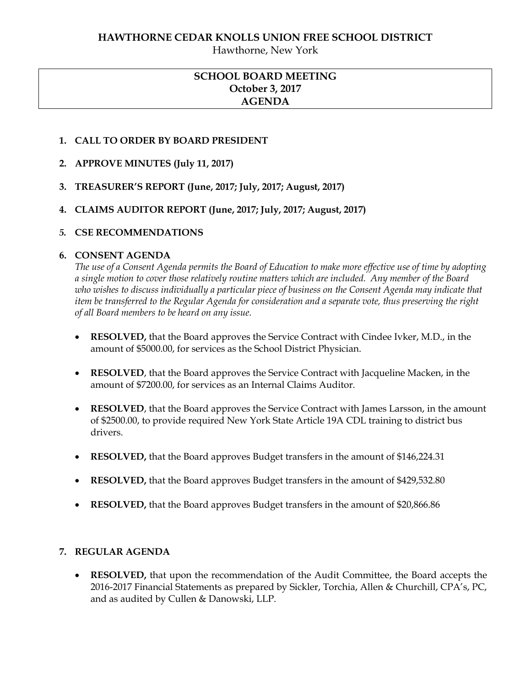Hawthorne, New York

# **SCHOOL BOARD MEETING October 3, 2017 AGENDA**

### **1. CALL TO ORDER BY BOARD PRESIDENT**

- **2. APPROVE MINUTES (July 11, 2017)**
- **3. TREASURER'S REPORT (June, 2017; July, 2017; August, 2017)**
- **4. CLAIMS AUDITOR REPORT (June, 2017; July, 2017; August, 2017)**

### *5.* **CSE RECOMMENDATIONS**

### **6. CONSENT AGENDA**

*The use of a Consent Agenda permits the Board of Education to make more effective use of time by adopting a single motion to cover those relatively routine matters which are included. Any member of the Board who wishes to discuss individually a particular piece of business on the Consent Agenda may indicate that item be transferred to the Regular Agenda for consideration and a separate vote, thus preserving the right of all Board members to be heard on any issue.* 

- **RESOLVED,** that the Board approves the Service Contract with Cindee Ivker, M.D., in the amount of \$5000.00, for services as the School District Physician.
- **RESOLVED**, that the Board approves the Service Contract with Jacqueline Macken, in the amount of \$7200.00, for services as an Internal Claims Auditor.
- **RESOLVED**, that the Board approves the Service Contract with James Larsson, in the amount of \$2500.00, to provide required New York State Article 19A CDL training to district bus drivers.
- **RESOLVED,** that the Board approves Budget transfers in the amount of \$146,224.31
- **RESOLVED,** that the Board approves Budget transfers in the amount of \$429,532.80
- **RESOLVED,** that the Board approves Budget transfers in the amount of \$20,866.86

### **7. REGULAR AGENDA**

 **RESOLVED,** that upon the recommendation of the Audit Committee, the Board accepts the 2016-2017 Financial Statements as prepared by Sickler, Torchia, Allen & Churchill, CPA's, PC, and as audited by Cullen & Danowski, LLP.